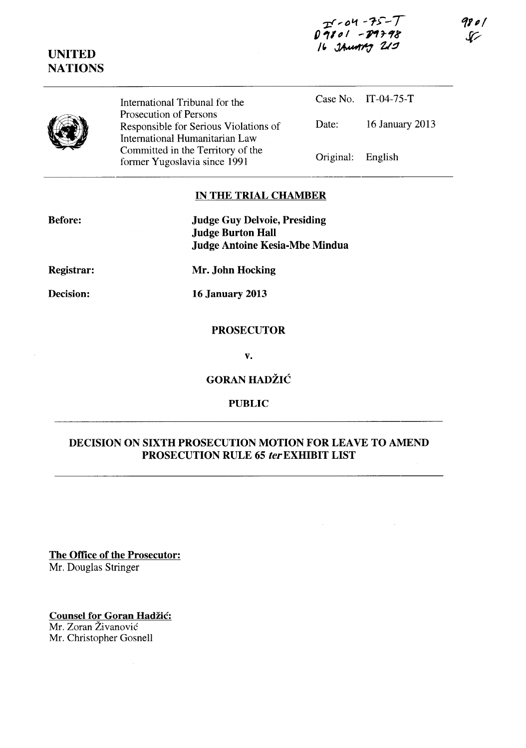## **']:f ,-0'1 -1->--T**  $0.9801 - 19798$  $16$  *JAMAM 219*

98 o l  $\mathcal{G}$ 

International Tribunal for the Prosecution of Persons Responsible for Serious Violations of International Humanitarian Law Committed in the Territory of the former Yugoslavia since 1991

Case No. IT-04-75-T Date: 16 January 2013 Original: English

## **IN THE TRIAL CHAMBER**

| <b>Judge Guy Delvoie, Presiding</b> |
|-------------------------------------|
| <b>Judge Burton Hall</b>            |
| Judge Antoine Kesia-Mbe Mindua      |

**Registrar:** 

**Mr. John Hocking** 

**Decision:** 

**16 January 2013** 

### **PROSECUTOR**

**v.** 

**GORAN HADZIC** 

## **PUBLIC**

# **DECISION ON SIXTH PROSECUTION MOTION FOR LEAVE TO AMEND PROSECUTION RULE 65 ler EXHIBIT LIST**

**The Office of the Prosecutor:**  Mr. Douglas Stringer

**Counsel for Goran Hadžić:** Mr. Zoran Zivanovic Mr. Christopher Gosnell

**UNITED NATIONS** 

**Before:**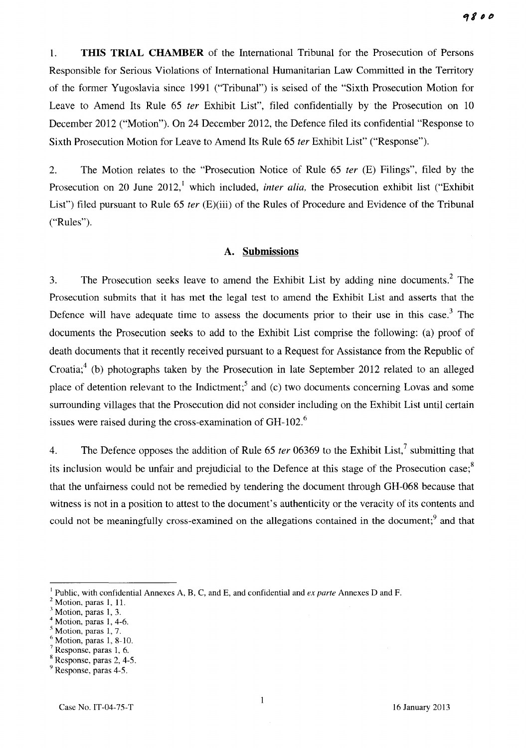1. **THIS TRIAL CHAMBER** of the International Tribunal for the Prosecution of Persons Responsible for Serious Violations of International Humanitarian Law Committed in the Territory of the former Yugoslavia since 1991 ("Tribunal") is seised of the "Sixth Prosecution Motion for Leave to Amend Its Rule 65 *ter* Exhibit List", filed confidentially by the Prosecution on 10 December 2012 ("Motion"). On 24 December 2012, the Defence filed its confidential "Response to Sixth Prosecution Motion for Leave to Amend Its Rule 65 *ter* Exhibit List" ("Response").

2. The Motion relates to the "Prosecution Notice of Rule 65 *ter* (E) Filings", filed by the Prosecution on 20 June 2012,<sup>1</sup> which included, *inter alia*, the Prosecution exhibit list ("Exhibit") List") filed pursuant to Rule 65 *ter* (E)(iii) of the Rules of Procedure and Evidence of the Tribunal ("Rules").

### **A. Submissions**

3. The Prosecution seeks leave to amend the Exhibit List by adding nine documents.<sup>2</sup> The Prosecution submits that it has met the legal test to amend the Exhibit List and asserts that the Defence will have adequate time to assess the documents prior to their use in this case.<sup>3</sup> The documents the Prosecution seeks to add to the Exhibit List comprise the following: (a) proof of death documents that it recently received pursuant to a Request for Assistance from the Republic of Croatia;<sup>4</sup> (b) photographs taken by the Prosecution in late September 2012 related to an alleged place of detention relevant to the Indictment;<sup>5</sup> and (c) two documents concerning Lovas and some surrounding villages that the Prosecution did not consider including on the Exhibit List until certain issues were raised during the cross-examination of GH-102.<sup>6</sup>

4. The Defence opposes the addition of Rule 65 *ter* 06369 to the Exhibit List,? submitting that its inclusion would be unfair and prejudicial to the Defence at this stage of the Prosecution case; $s$ that the unfairness could not be remedied by tendering the document through GH-068 because that witness is not in a position to attest to the document's authenticity or the veracity of its contents and could not be meaningfully cross-examined on the allegations contained in the document;<sup>9</sup> and that

- Motion, paras 1, 4-6.
- Motion, paras 1, 7.
- Motion, paras 1, 8-10.

<sup>&</sup>lt;sup>1</sup> Public, with confidential Annexes A, B, C, and E, and confidential and *ex parte* Annexes D and F.

Motion, paras 1, 11.

Motion, paras 1, 3.

Response, paras 1, 6.

<sup>8</sup> Response, paras 2, 4-5.

<sup>&</sup>lt;sup>9</sup> Response, paras 4-5.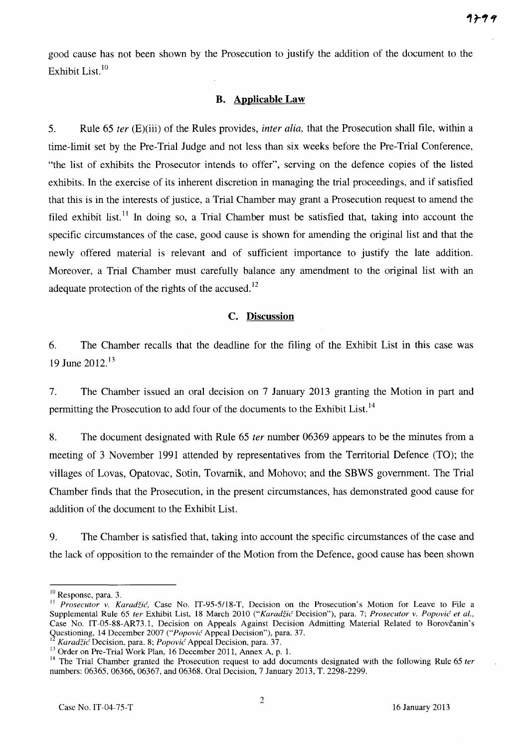good cause has not been shown by the Prosecution to justify the addition of the document to the Exhibit List.<sup>10</sup>

# **B. Applicable Law**

5. Rule 65 *ter* (E)(iii) of the Rules provides, *inter alia,* that the Prosecution shall file, within a time-limit set by the Pre-Trial Judge and not less than six weeks before the Pre-Trial Conference, "the list of exhibits the Prosecutor intends to offer", serving on the defence copies of the listed exhibits. In the exercise of its inherent discretion in managing the trial proceedings, and if satisfied that this is in the interests of justice, a Trial Chamber may grant a Prosecution request to amend the filed exhibit list.<sup>11</sup> In doing so, a Trial Chamber must be satisfied that, taking into account the specific circumstances of the case, good cause is shown for amending the original list and that the newly offered material is relevant and of sufficient importance to justify the late addition. Moreover, a Trial Chamber must carefully balance any amendment to the original list with an adequate protection of the rights of the accused.<sup>12</sup>

# **c. Discussion**

6. The Chamber recalls that the deadline for the filing of the Exhibit List in this case was 19 June 2012.<sup>13</sup>

7. The Chamber issued an oral decision on 7 January 2013 granting the Motion in part and permitting the Prosecution to add four of the documents to the Exhibit List.<sup>14</sup>

8. The document designated with Rule 65 *ter* number 06369 appears to be the minutes from a meeting of 3 November 1991 attended by representatives from the Territorial Defence (TO); the villages of Lovas, Opatovac, Sotin, Tovarnik, and Mohovo; and the SBWS government. The Trial Chamber finds that the Prosecution, in the present circumstances, has demonstrated good cause for addition of the document to the Exhibit List.

9. The Chamber is satisfied that, taking into account the specific circumstances of the case and the lack of opposition to the remainder of the Motion from the Defence, good cause has been shown

<sup>10</sup> Response, para. 3.

<sup>&</sup>lt;sup>11</sup> Prosecutor v. Karadžić, Case No. IT-95-5/18-T, Decision on the Prosecution's Motion for Leave to File a Supplemental Rule 65 ter Exhibit List, 18 March 2010 *("Karadžić Decision")*, para. 7; *Prosecutor v. Popović et al.*, Case No. IT-05-SS-AR73.1, Decision on Appeals Against Decision Admitting Material Related to Borovcanin's Questioning, 14 December 2007 *("Popovic* Appeal Decision"), para. 37.

<sup>12</sup>*Karadzid* Decision, para. S; *Popovic'* Appeal Decision, para. 37.

<sup>&</sup>lt;sup>13</sup> Order on Pre-Trial Work Plan, 16 December 2011, Annex A, p. 1.

<sup>&</sup>lt;sup>14</sup> The Trial Chamber granted the Prosecution request to add documents designated with the following Rule 65 *ter* numbers: 06365, 06366, 06367, and 06368. Oral Decision, 7 January 2013, T. 2298-2299.